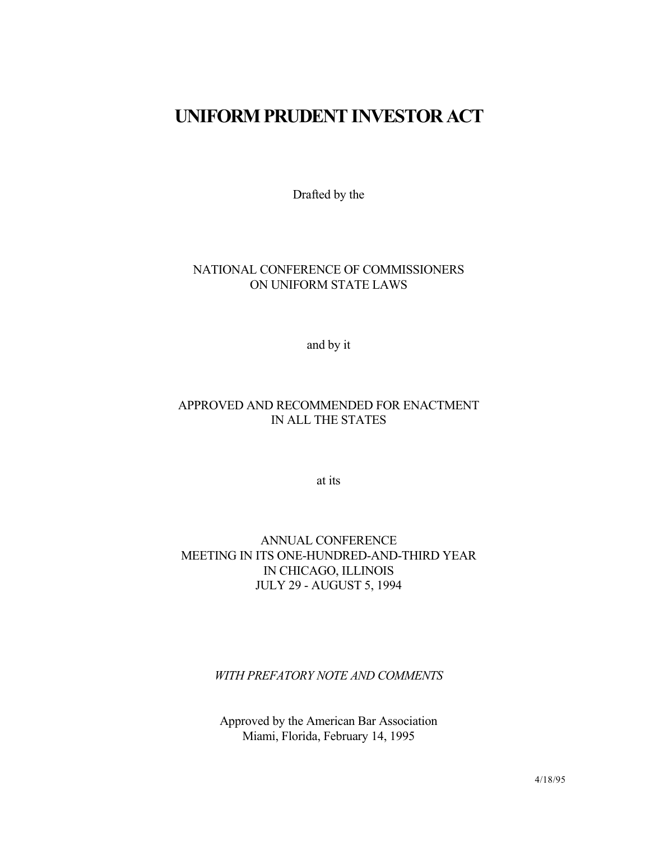Drafted by the

# NATIONAL CONFERENCE OF COMMISSIONERS ON UNIFORM STATE LAWS

and by it

# APPROVED AND RECOMMENDED FOR ENACTMENT IN ALL THE STATES

at its

ANNUAL CONFERENCE MEETING IN ITS ONE-HUNDRED-AND-THIRD YEAR IN CHICAGO, ILLINOIS JULY 29 - AUGUST 5, 1994

*WITH PREFATORY NOTE AND COMMENTS*

Approved by the American Bar Association Miami, Florida, February 14, 1995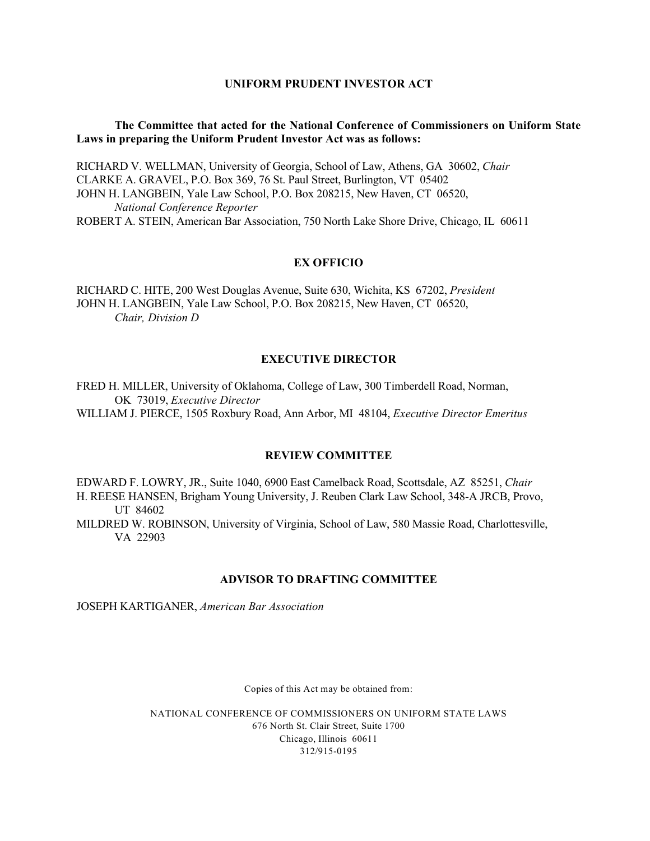# **The Committee that acted for the National Conference of Commissioners on Uniform State Laws in preparing the Uniform Prudent Investor Act was as follows:**

RICHARD V. WELLMAN, University of Georgia, School of Law, Athens, GA 30602, *Chair* CLARKE A. GRAVEL, P.O. Box 369, 76 St. Paul Street, Burlington, VT 05402 JOHN H. LANGBEIN, Yale Law School, P.O. Box 208215, New Haven, CT 06520, *National Conference Reporter*

ROBERT A. STEIN, American Bar Association, 750 North Lake Shore Drive, Chicago, IL 60611

# **EX OFFICIO**

RICHARD C. HITE, 200 West Douglas Avenue, Suite 630, Wichita, KS 67202, *President* JOHN H. LANGBEIN, Yale Law School, P.O. Box 208215, New Haven, CT 06520, *Chair, Division D*

# **EXECUTIVE DIRECTOR**

FRED H. MILLER, University of Oklahoma, College of Law, 300 Timberdell Road, Norman, OK 73019, *Executive Director* WILLIAM J. PIERCE, 1505 Roxbury Road, Ann Arbor, MI 48104, *Executive Director Emeritus*

# **REVIEW COMMITTEE**

EDWARD F. LOWRY, JR., Suite 1040, 6900 East Camelback Road, Scottsdale, AZ 85251, *Chair* H. REESE HANSEN, Brigham Young University, J. Reuben Clark Law School, 348-A JRCB, Provo, UT 84602

MILDRED W. ROBINSON, University of Virginia, School of Law, 580 Massie Road, Charlottesville, VA 22903

# **ADVISOR TO DRAFTING COMMITTEE**

JOSEPH KARTIGANER, *American Bar Association*

Copies of this Act may be obtained from:

NATIONAL CONFERENCE OF COMMISSIONERS ON UNIFORM STATE LAWS 676 North St. Clair Street, Suite 1700 Chicago, Illinois 60611 312/915-0195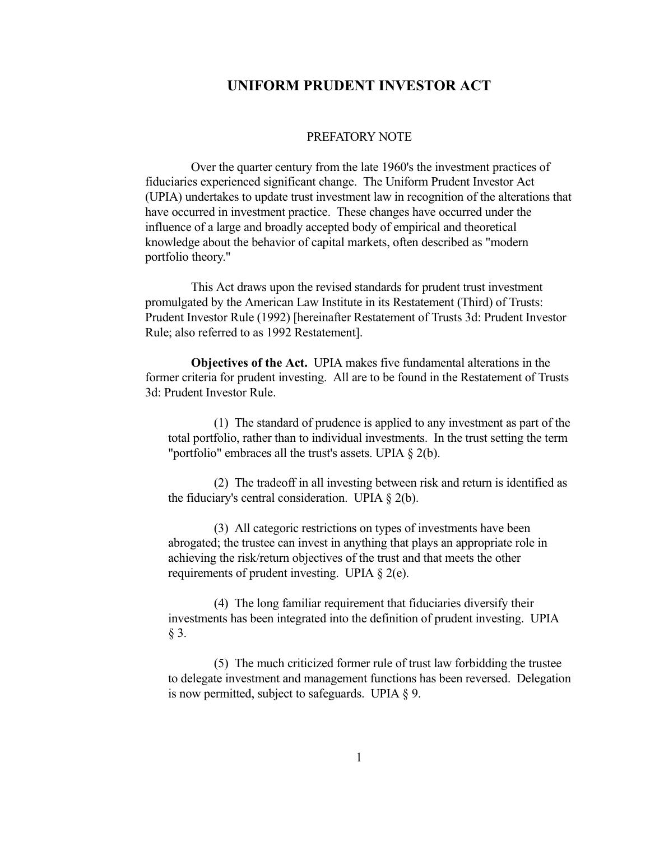#### PREFATORY NOTE

Over the quarter century from the late 1960's the investment practices of fiduciaries experienced significant change. The Uniform Prudent Investor Act (UPIA) undertakes to update trust investment law in recognition of the alterations that have occurred in investment practice. These changes have occurred under the influence of a large and broadly accepted body of empirical and theoretical knowledge about the behavior of capital markets, often described as "modern portfolio theory."

This Act draws upon the revised standards for prudent trust investment promulgated by the American Law Institute in its Restatement (Third) of Trusts: Prudent Investor Rule (1992) [hereinafter Restatement of Trusts 3d: Prudent Investor Rule; also referred to as 1992 Restatement].

**Objectives of the Act.** UPIA makes five fundamental alterations in the former criteria for prudent investing. All are to be found in the Restatement of Trusts 3d: Prudent Investor Rule.

(1) The standard of prudence is applied to any investment as part of the total portfolio, rather than to individual investments. In the trust setting the term "portfolio" embraces all the trust's assets. UPIA § 2(b).

(2) The tradeoff in all investing between risk and return is identified as the fiduciary's central consideration. UPIA  $\S$  2(b).

(3) All categoric restrictions on types of investments have been abrogated; the trustee can invest in anything that plays an appropriate role in achieving the risk/return objectives of the trust and that meets the other requirements of prudent investing. UPIA § 2(e).

(4) The long familiar requirement that fiduciaries diversify their investments has been integrated into the definition of prudent investing. UPIA § 3.

(5) The much criticized former rule of trust law forbidding the trustee to delegate investment and management functions has been reversed. Delegation is now permitted, subject to safeguards. UPIA § 9.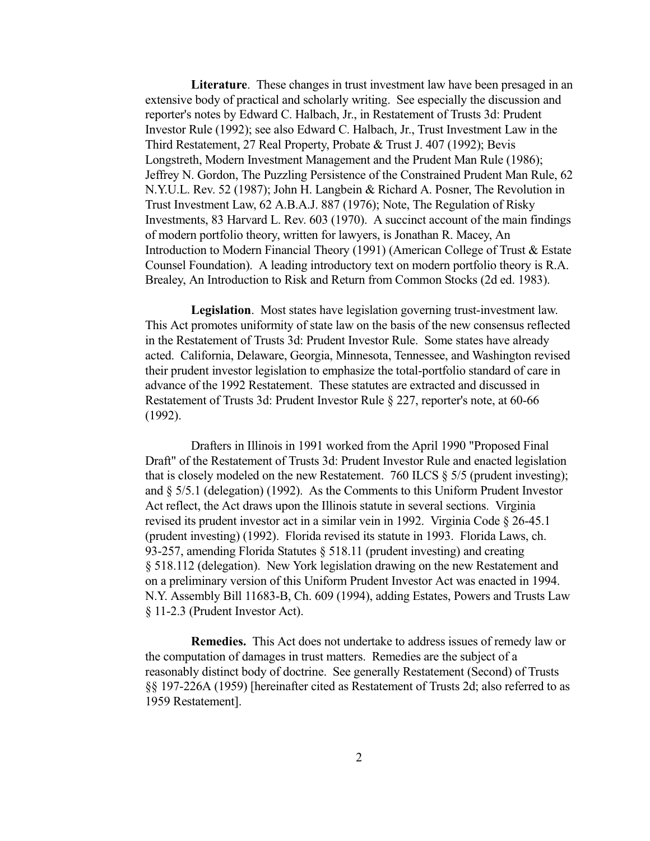**Literature**. These changes in trust investment law have been presaged in an extensive body of practical and scholarly writing. See especially the discussion and reporter's notes by Edward C. Halbach, Jr., in Restatement of Trusts 3d: Prudent Investor Rule (1992); see also Edward C. Halbach, Jr., Trust Investment Law in the Third Restatement, 27 Real Property, Probate & Trust J. 407 (1992); Bevis Longstreth, Modern Investment Management and the Prudent Man Rule (1986); Jeffrey N. Gordon, The Puzzling Persistence of the Constrained Prudent Man Rule, 62 N.Y.U.L. Rev. 52 (1987); John H. Langbein & Richard A. Posner, The Revolution in Trust Investment Law, 62 A.B.A.J. 887 (1976); Note, The Regulation of Risky Investments, 83 Harvard L. Rev. 603 (1970). A succinct account of the main findings of modern portfolio theory, written for lawyers, is Jonathan R. Macey, An Introduction to Modern Financial Theory (1991) (American College of Trust & Estate Counsel Foundation). A leading introductory text on modern portfolio theory is R.A. Brealey, An Introduction to Risk and Return from Common Stocks (2d ed. 1983).

**Legislation**. Most states have legislation governing trust-investment law. This Act promotes uniformity of state law on the basis of the new consensus reflected in the Restatement of Trusts 3d: Prudent Investor Rule. Some states have already acted. California, Delaware, Georgia, Minnesota, Tennessee, and Washington revised their prudent investor legislation to emphasize the total-portfolio standard of care in advance of the 1992 Restatement. These statutes are extracted and discussed in Restatement of Trusts 3d: Prudent Investor Rule § 227, reporter's note, at 60-66 (1992).

Drafters in Illinois in 1991 worked from the April 1990 "Proposed Final Draft" of the Restatement of Trusts 3d: Prudent Investor Rule and enacted legislation that is closely modeled on the new Restatement. 760 ILCS § 5/5 (prudent investing); and § 5/5.1 (delegation) (1992). As the Comments to this Uniform Prudent Investor Act reflect, the Act draws upon the Illinois statute in several sections. Virginia revised its prudent investor act in a similar vein in 1992. Virginia Code § 26-45.1 (prudent investing) (1992). Florida revised its statute in 1993. Florida Laws, ch. 93-257, amending Florida Statutes § 518.11 (prudent investing) and creating § 518.112 (delegation). New York legislation drawing on the new Restatement and on a preliminary version of this Uniform Prudent Investor Act was enacted in 1994. N.Y. Assembly Bill 11683-B, Ch. 609 (1994), adding Estates, Powers and Trusts Law § 11-2.3 (Prudent Investor Act).

**Remedies.** This Act does not undertake to address issues of remedy law or the computation of damages in trust matters. Remedies are the subject of a reasonably distinct body of doctrine. See generally Restatement (Second) of Trusts §§ 197-226A (1959) [hereinafter cited as Restatement of Trusts 2d; also referred to as 1959 Restatement].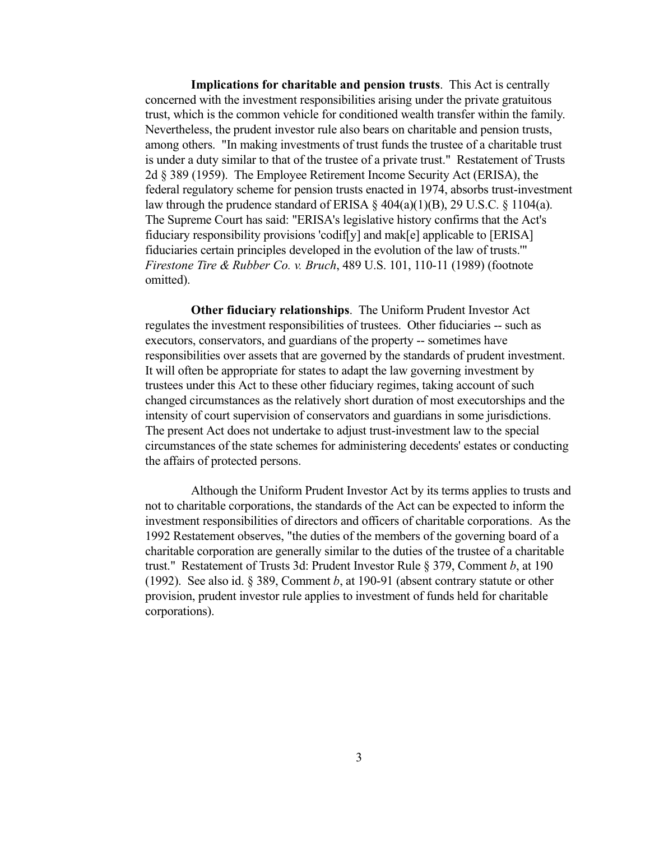**Implications for charitable and pension trusts**. This Act is centrally concerned with the investment responsibilities arising under the private gratuitous trust, which is the common vehicle for conditioned wealth transfer within the family. Nevertheless, the prudent investor rule also bears on charitable and pension trusts, among others. "In making investments of trust funds the trustee of a charitable trust is under a duty similar to that of the trustee of a private trust." Restatement of Trusts 2d § 389 (1959). The Employee Retirement Income Security Act (ERISA), the federal regulatory scheme for pension trusts enacted in 1974, absorbs trust-investment law through the prudence standard of ERISA  $\S$  404(a)(1)(B), 29 U.S.C.  $\S$  1104(a). The Supreme Court has said: "ERISA's legislative history confirms that the Act's fiduciary responsibility provisions 'codif[y] and mak[e] applicable to [ERISA] fiduciaries certain principles developed in the evolution of the law of trusts.'" *Firestone Tire & Rubber Co. v. Bruch*, 489 U.S. 101, 110-11 (1989) (footnote omitted).

**Other fiduciary relationships**. The Uniform Prudent Investor Act regulates the investment responsibilities of trustees. Other fiduciaries -- such as executors, conservators, and guardians of the property -- sometimes have responsibilities over assets that are governed by the standards of prudent investment. It will often be appropriate for states to adapt the law governing investment by trustees under this Act to these other fiduciary regimes, taking account of such changed circumstances as the relatively short duration of most executorships and the intensity of court supervision of conservators and guardians in some jurisdictions. The present Act does not undertake to adjust trust-investment law to the special circumstances of the state schemes for administering decedents' estates or conducting the affairs of protected persons.

Although the Uniform Prudent Investor Act by its terms applies to trusts and not to charitable corporations, the standards of the Act can be expected to inform the investment responsibilities of directors and officers of charitable corporations. As the 1992 Restatement observes, "the duties of the members of the governing board of a charitable corporation are generally similar to the duties of the trustee of a charitable trust." Restatement of Trusts 3d: Prudent Investor Rule § 379, Comment *b*, at 190 (1992). See also id. § 389, Comment *b*, at 190-91 (absent contrary statute or other provision, prudent investor rule applies to investment of funds held for charitable corporations).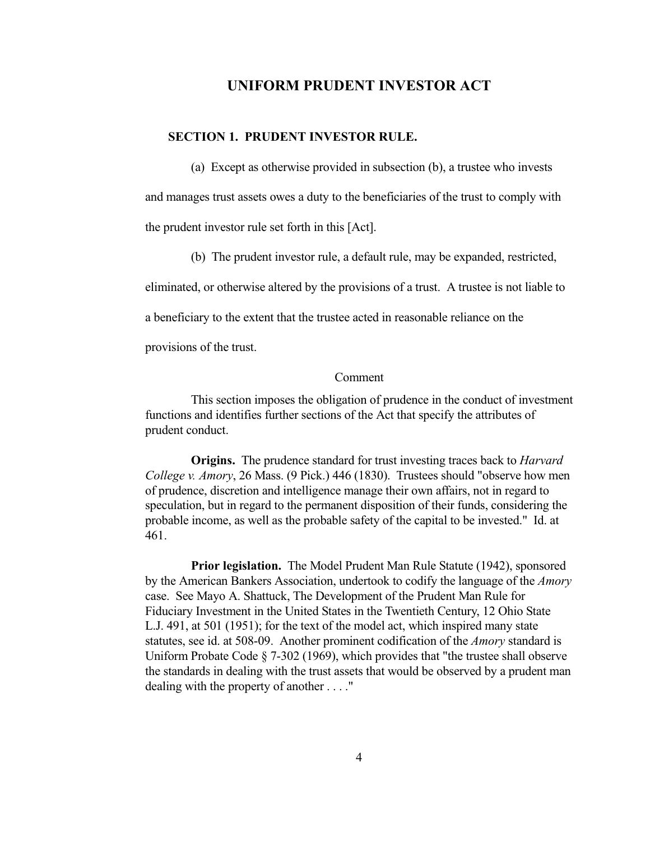# **SECTION 1. PRUDENT INVESTOR RULE.**

(a) Except as otherwise provided in subsection (b), a trustee who invests and manages trust assets owes a duty to the beneficiaries of the trust to comply with the prudent investor rule set forth in this [Act].

(b) The prudent investor rule, a default rule, may be expanded, restricted,

eliminated, or otherwise altered by the provisions of a trust. A trustee is not liable to

a beneficiary to the extent that the trustee acted in reasonable reliance on the

provisions of the trust.

#### Comment

This section imposes the obligation of prudence in the conduct of investment functions and identifies further sections of the Act that specify the attributes of prudent conduct.

**Origins.** The prudence standard for trust investing traces back to *Harvard College v. Amory*, 26 Mass. (9 Pick.) 446 (1830). Trustees should "observe how men of prudence, discretion and intelligence manage their own affairs, not in regard to speculation, but in regard to the permanent disposition of their funds, considering the probable income, as well as the probable safety of the capital to be invested." Id. at 461.

**Prior legislation.** The Model Prudent Man Rule Statute (1942), sponsored by the American Bankers Association, undertook to codify the language of the *Amory* case. See Mayo A. Shattuck, The Development of the Prudent Man Rule for Fiduciary Investment in the United States in the Twentieth Century, 12 Ohio State L.J. 491, at 501 (1951); for the text of the model act, which inspired many state statutes, see id. at 508-09. Another prominent codification of the *Amory* standard is Uniform Probate Code § 7-302 (1969), which provides that "the trustee shall observe the standards in dealing with the trust assets that would be observed by a prudent man dealing with the property of another . . . ."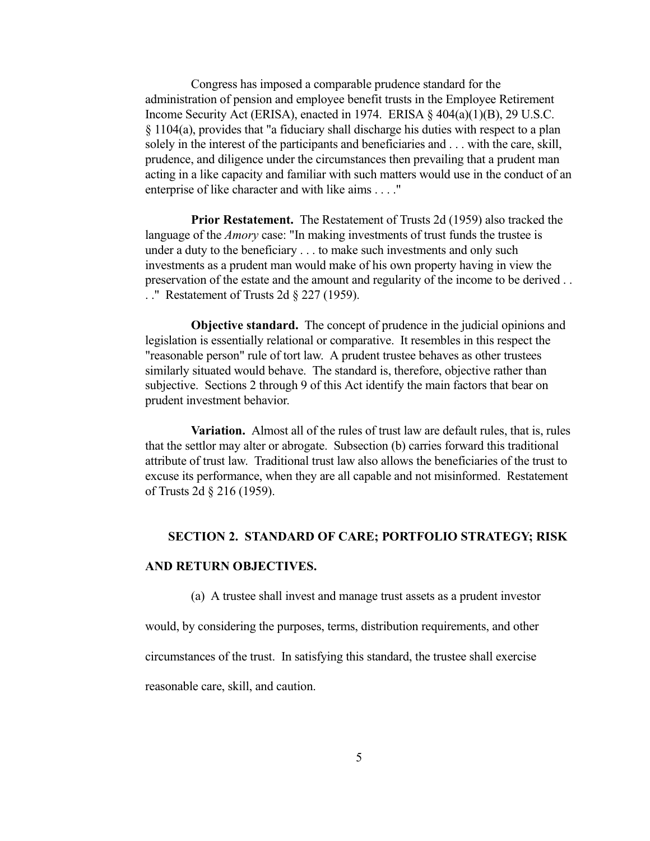Congress has imposed a comparable prudence standard for the administration of pension and employee benefit trusts in the Employee Retirement Income Security Act (ERISA), enacted in 1974. ERISA § 404(a)(1)(B), 29 U.S.C. § 1104(a), provides that "a fiduciary shall discharge his duties with respect to a plan solely in the interest of the participants and beneficiaries and . . . with the care, skill, prudence, and diligence under the circumstances then prevailing that a prudent man acting in a like capacity and familiar with such matters would use in the conduct of an enterprise of like character and with like aims . . . ."

**Prior Restatement.** The Restatement of Trusts 2d (1959) also tracked the language of the *Amory* case: "In making investments of trust funds the trustee is under a duty to the beneficiary . . . to make such investments and only such investments as a prudent man would make of his own property having in view the preservation of the estate and the amount and regularity of the income to be derived . . . ." Restatement of Trusts 2d § 227 (1959).

**Objective standard.** The concept of prudence in the judicial opinions and legislation is essentially relational or comparative. It resembles in this respect the "reasonable person" rule of tort law. A prudent trustee behaves as other trustees similarly situated would behave. The standard is, therefore, objective rather than subjective. Sections 2 through 9 of this Act identify the main factors that bear on prudent investment behavior.

**Variation.** Almost all of the rules of trust law are default rules, that is, rules that the settlor may alter or abrogate. Subsection (b) carries forward this traditional attribute of trust law. Traditional trust law also allows the beneficiaries of the trust to excuse its performance, when they are all capable and not misinformed. Restatement of Trusts 2d § 216 (1959).

#### **SECTION 2. STANDARD OF CARE; PORTFOLIO STRATEGY; RISK**

#### **AND RETURN OBJECTIVES.**

(a) A trustee shall invest and manage trust assets as a prudent investor

would, by considering the purposes, terms, distribution requirements, and other

circumstances of the trust. In satisfying this standard, the trustee shall exercise

reasonable care, skill, and caution.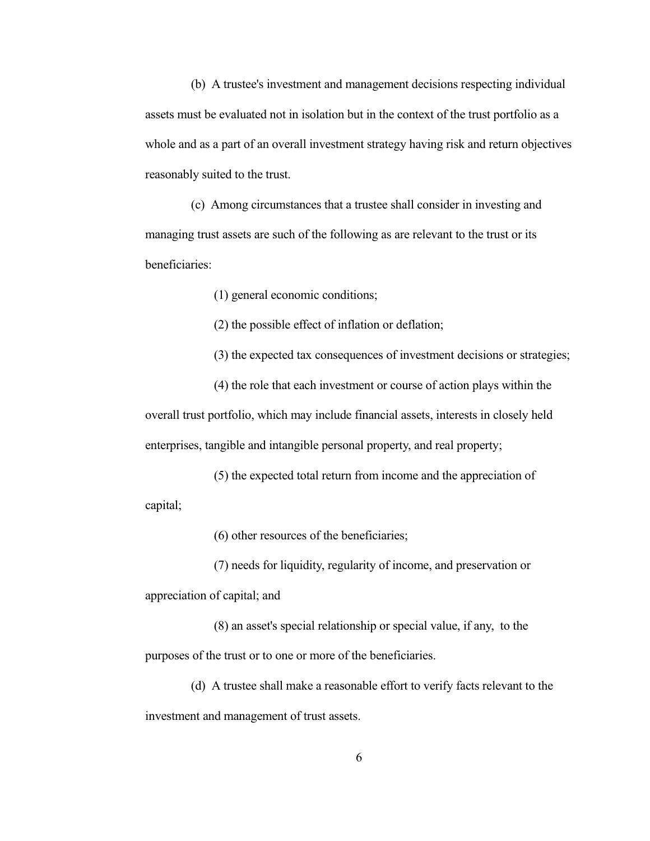(b) A trustee's investment and management decisions respecting individual assets must be evaluated not in isolation but in the context of the trust portfolio as a whole and as a part of an overall investment strategy having risk and return objectives reasonably suited to the trust.

(c) Among circumstances that a trustee shall consider in investing and managing trust assets are such of the following as are relevant to the trust or its beneficiaries:

(1) general economic conditions;

(2) the possible effect of inflation or deflation;

(3) the expected tax consequences of investment decisions or strategies;

(4) the role that each investment or course of action plays within the overall trust portfolio, which may include financial assets, interests in closely held enterprises, tangible and intangible personal property, and real property;

(5) the expected total return from income and the appreciation of capital;

(6) other resources of the beneficiaries;

(7) needs for liquidity, regularity of income, and preservation or appreciation of capital; and

(8) an asset's special relationship or special value, if any, to the purposes of the trust or to one or more of the beneficiaries.

(d) A trustee shall make a reasonable effort to verify facts relevant to the investment and management of trust assets.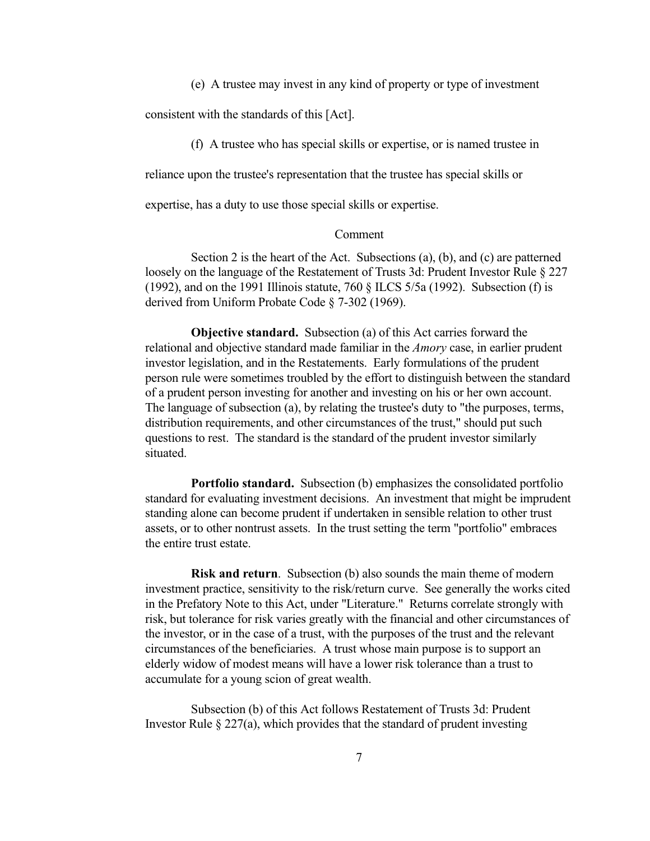(e) A trustee may invest in any kind of property or type of investment

consistent with the standards of this [Act].

(f) A trustee who has special skills or expertise, or is named trustee in

reliance upon the trustee's representation that the trustee has special skills or

expertise, has a duty to use those special skills or expertise.

### Comment

Section 2 is the heart of the Act. Subsections (a), (b), and (c) are patterned loosely on the language of the Restatement of Trusts 3d: Prudent Investor Rule § 227 (1992), and on the 1991 Illinois statute,  $760 \text{ § ILCS } 5/5a$  (1992). Subsection (f) is derived from Uniform Probate Code § 7-302 (1969).

**Objective standard.** Subsection (a) of this Act carries forward the relational and objective standard made familiar in the *Amory* case, in earlier prudent investor legislation, and in the Restatements. Early formulations of the prudent person rule were sometimes troubled by the effort to distinguish between the standard of a prudent person investing for another and investing on his or her own account. The language of subsection (a), by relating the trustee's duty to "the purposes, terms, distribution requirements, and other circumstances of the trust," should put such questions to rest. The standard is the standard of the prudent investor similarly situated.

**Portfolio standard.** Subsection (b) emphasizes the consolidated portfolio standard for evaluating investment decisions. An investment that might be imprudent standing alone can become prudent if undertaken in sensible relation to other trust assets, or to other nontrust assets. In the trust setting the term "portfolio" embraces the entire trust estate.

**Risk and return**. Subsection (b) also sounds the main theme of modern investment practice, sensitivity to the risk/return curve. See generally the works cited in the Prefatory Note to this Act, under "Literature." Returns correlate strongly with risk, but tolerance for risk varies greatly with the financial and other circumstances of the investor, or in the case of a trust, with the purposes of the trust and the relevant circumstances of the beneficiaries. A trust whose main purpose is to support an elderly widow of modest means will have a lower risk tolerance than a trust to accumulate for a young scion of great wealth.

Subsection (b) of this Act follows Restatement of Trusts 3d: Prudent Investor Rule § 227(a), which provides that the standard of prudent investing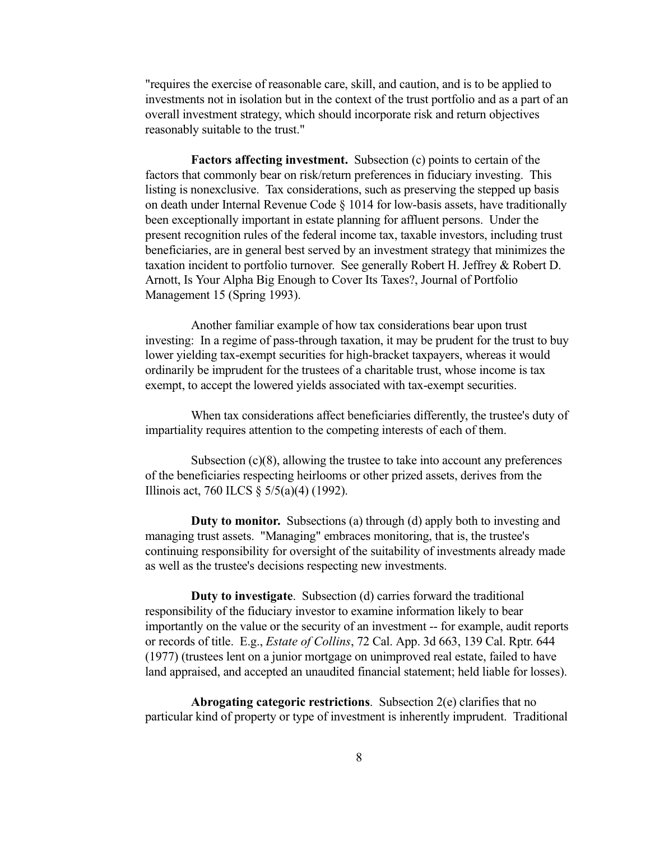"requires the exercise of reasonable care, skill, and caution, and is to be applied to investments not in isolation but in the context of the trust portfolio and as a part of an overall investment strategy, which should incorporate risk and return objectives reasonably suitable to the trust."

**Factors affecting investment.** Subsection (c) points to certain of the factors that commonly bear on risk/return preferences in fiduciary investing. This listing is nonexclusive. Tax considerations, such as preserving the stepped up basis on death under Internal Revenue Code § 1014 for low-basis assets, have traditionally been exceptionally important in estate planning for affluent persons. Under the present recognition rules of the federal income tax, taxable investors, including trust beneficiaries, are in general best served by an investment strategy that minimizes the taxation incident to portfolio turnover. See generally Robert H. Jeffrey & Robert D. Arnott, Is Your Alpha Big Enough to Cover Its Taxes?, Journal of Portfolio Management 15 (Spring 1993).

Another familiar example of how tax considerations bear upon trust investing: In a regime of pass-through taxation, it may be prudent for the trust to buy lower yielding tax-exempt securities for high-bracket taxpayers, whereas it would ordinarily be imprudent for the trustees of a charitable trust, whose income is tax exempt, to accept the lowered yields associated with tax-exempt securities.

When tax considerations affect beneficiaries differently, the trustee's duty of impartiality requires attention to the competing interests of each of them.

Subsection (c)(8), allowing the trustee to take into account any preferences of the beneficiaries respecting heirlooms or other prized assets, derives from the Illinois act, 760 ILCS § 5/5(a)(4) (1992).

**Duty to monitor.** Subsections (a) through (d) apply both to investing and managing trust assets. "Managing" embraces monitoring, that is, the trustee's continuing responsibility for oversight of the suitability of investments already made as well as the trustee's decisions respecting new investments.

**Duty to investigate**. Subsection (d) carries forward the traditional responsibility of the fiduciary investor to examine information likely to bear importantly on the value or the security of an investment -- for example, audit reports or records of title. E.g., *Estate of Collins*, 72 Cal. App. 3d 663, 139 Cal. Rptr. 644 (1977) (trustees lent on a junior mortgage on unimproved real estate, failed to have land appraised, and accepted an unaudited financial statement; held liable for losses).

**Abrogating categoric restrictions**. Subsection 2(e) clarifies that no particular kind of property or type of investment is inherently imprudent. Traditional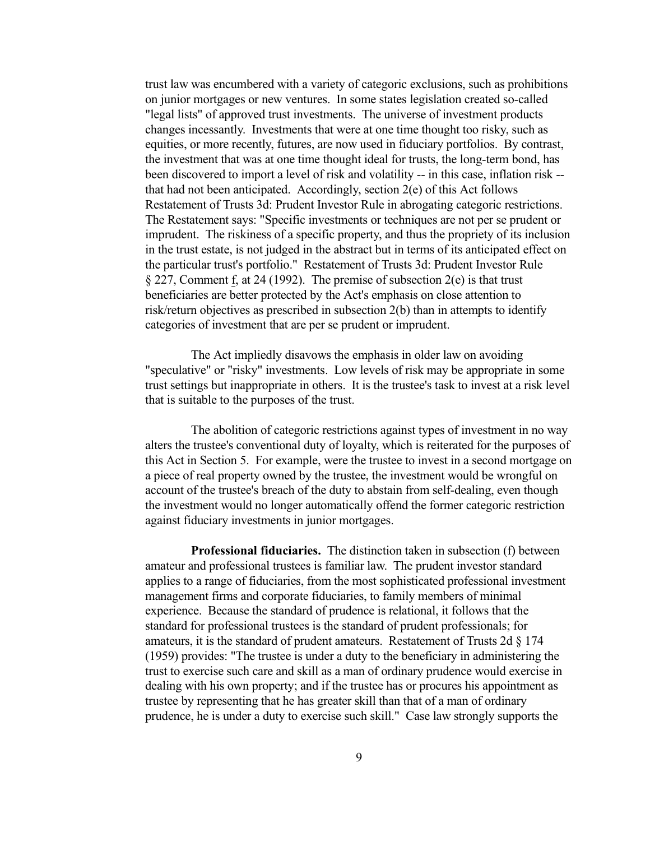trust law was encumbered with a variety of categoric exclusions, such as prohibitions on junior mortgages or new ventures. In some states legislation created so-called "legal lists" of approved trust investments. The universe of investment products changes incessantly. Investments that were at one time thought too risky, such as equities, or more recently, futures, are now used in fiduciary portfolios. By contrast, the investment that was at one time thought ideal for trusts, the long-term bond, has been discovered to import a level of risk and volatility -- in this case, inflation risk - that had not been anticipated. Accordingly, section  $2(e)$  of this Act follows Restatement of Trusts 3d: Prudent Investor Rule in abrogating categoric restrictions. The Restatement says: "Specific investments or techniques are not per se prudent or imprudent. The riskiness of a specific property, and thus the propriety of its inclusion in the trust estate, is not judged in the abstract but in terms of its anticipated effect on the particular trust's portfolio." Restatement of Trusts 3d: Prudent Investor Rule § 227, Comment f, at 24 (1992). The premise of subsection 2(e) is that trust beneficiaries are better protected by the Act's emphasis on close attention to risk/return objectives as prescribed in subsection 2(b) than in attempts to identify categories of investment that are per se prudent or imprudent.

The Act impliedly disavows the emphasis in older law on avoiding "speculative" or "risky" investments. Low levels of risk may be appropriate in some trust settings but inappropriate in others. It is the trustee's task to invest at a risk level that is suitable to the purposes of the trust.

The abolition of categoric restrictions against types of investment in no way alters the trustee's conventional duty of loyalty, which is reiterated for the purposes of this Act in Section 5. For example, were the trustee to invest in a second mortgage on a piece of real property owned by the trustee, the investment would be wrongful on account of the trustee's breach of the duty to abstain from self-dealing, even though the investment would no longer automatically offend the former categoric restriction against fiduciary investments in junior mortgages.

**Professional fiduciaries.** The distinction taken in subsection (f) between amateur and professional trustees is familiar law. The prudent investor standard applies to a range of fiduciaries, from the most sophisticated professional investment management firms and corporate fiduciaries, to family members of minimal experience. Because the standard of prudence is relational, it follows that the standard for professional trustees is the standard of prudent professionals; for amateurs, it is the standard of prudent amateurs. Restatement of Trusts 2d § 174 (1959) provides: "The trustee is under a duty to the beneficiary in administering the trust to exercise such care and skill as a man of ordinary prudence would exercise in dealing with his own property; and if the trustee has or procures his appointment as trustee by representing that he has greater skill than that of a man of ordinary prudence, he is under a duty to exercise such skill." Case law strongly supports the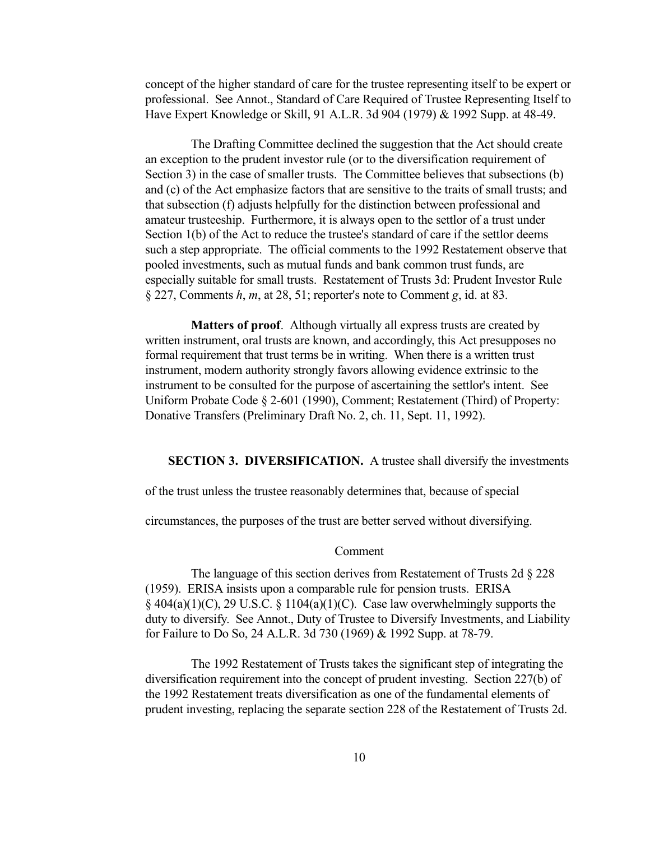concept of the higher standard of care for the trustee representing itself to be expert or professional. See Annot., Standard of Care Required of Trustee Representing Itself to Have Expert Knowledge or Skill, 91 A.L.R. 3d 904 (1979) & 1992 Supp. at 48-49.

The Drafting Committee declined the suggestion that the Act should create an exception to the prudent investor rule (or to the diversification requirement of Section 3) in the case of smaller trusts. The Committee believes that subsections (b) and (c) of the Act emphasize factors that are sensitive to the traits of small trusts; and that subsection (f) adjusts helpfully for the distinction between professional and amateur trusteeship. Furthermore, it is always open to the settlor of a trust under Section 1(b) of the Act to reduce the trustee's standard of care if the settlor deems such a step appropriate. The official comments to the 1992 Restatement observe that pooled investments, such as mutual funds and bank common trust funds, are especially suitable for small trusts. Restatement of Trusts 3d: Prudent Investor Rule § 227, Comments *h*, *m*, at 28, 51; reporter's note to Comment *g*, id. at 83.

**Matters of proof**. Although virtually all express trusts are created by written instrument, oral trusts are known, and accordingly, this Act presupposes no formal requirement that trust terms be in writing. When there is a written trust instrument, modern authority strongly favors allowing evidence extrinsic to the instrument to be consulted for the purpose of ascertaining the settlor's intent. See Uniform Probate Code § 2-601 (1990), Comment; Restatement (Third) of Property: Donative Transfers (Preliminary Draft No. 2, ch. 11, Sept. 11, 1992).

### **SECTION 3. DIVERSIFICATION.** A trustee shall diversify the investments

of the trust unless the trustee reasonably determines that, because of special

circumstances, the purposes of the trust are better served without diversifying.

#### Comment

The language of this section derives from Restatement of Trusts 2d § 228 (1959). ERISA insists upon a comparable rule for pension trusts. ERISA  $§$  404(a)(1)(C), 29 U.S.C. § 1104(a)(1)(C). Case law overwhelmingly supports the duty to diversify. See Annot., Duty of Trustee to Diversify Investments, and Liability for Failure to Do So, 24 A.L.R. 3d 730 (1969) & 1992 Supp. at 78-79.

The 1992 Restatement of Trusts takes the significant step of integrating the diversification requirement into the concept of prudent investing. Section 227(b) of the 1992 Restatement treats diversification as one of the fundamental elements of prudent investing, replacing the separate section 228 of the Restatement of Trusts 2d.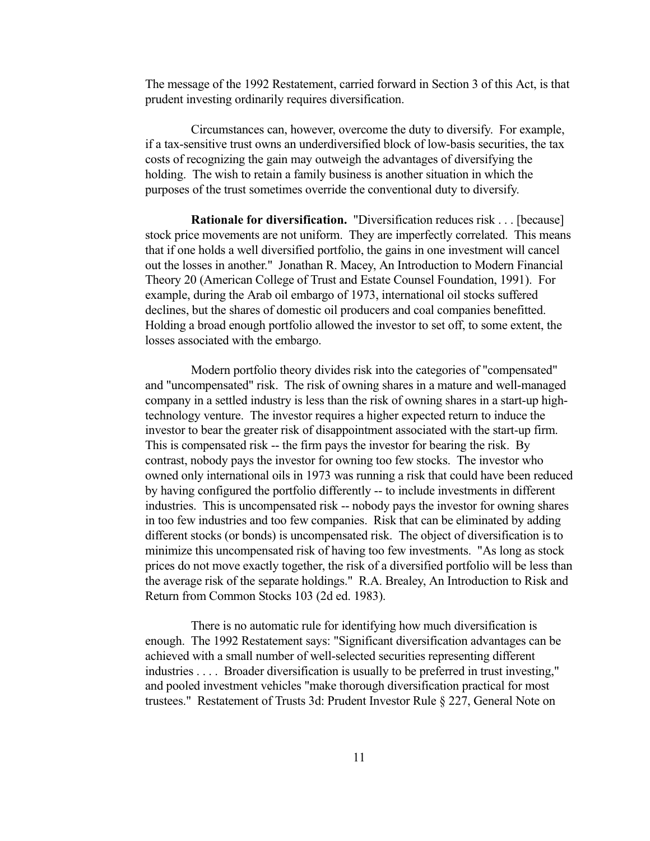The message of the 1992 Restatement, carried forward in Section 3 of this Act, is that prudent investing ordinarily requires diversification.

Circumstances can, however, overcome the duty to diversify. For example, if a tax-sensitive trust owns an underdiversified block of low-basis securities, the tax costs of recognizing the gain may outweigh the advantages of diversifying the holding. The wish to retain a family business is another situation in which the purposes of the trust sometimes override the conventional duty to diversify.

**Rationale for diversification.** "Diversification reduces risk . . . [because] stock price movements are not uniform. They are imperfectly correlated. This means that if one holds a well diversified portfolio, the gains in one investment will cancel out the losses in another." Jonathan R. Macey, An Introduction to Modern Financial Theory 20 (American College of Trust and Estate Counsel Foundation, 1991). For example, during the Arab oil embargo of 1973, international oil stocks suffered declines, but the shares of domestic oil producers and coal companies benefitted. Holding a broad enough portfolio allowed the investor to set off, to some extent, the losses associated with the embargo.

Modern portfolio theory divides risk into the categories of "compensated" and "uncompensated" risk. The risk of owning shares in a mature and well-managed company in a settled industry is less than the risk of owning shares in a start-up hightechnology venture. The investor requires a higher expected return to induce the investor to bear the greater risk of disappointment associated with the start-up firm. This is compensated risk -- the firm pays the investor for bearing the risk. By contrast, nobody pays the investor for owning too few stocks. The investor who owned only international oils in 1973 was running a risk that could have been reduced by having configured the portfolio differently -- to include investments in different industries. This is uncompensated risk -- nobody pays the investor for owning shares in too few industries and too few companies. Risk that can be eliminated by adding different stocks (or bonds) is uncompensated risk. The object of diversification is to minimize this uncompensated risk of having too few investments. "As long as stock prices do not move exactly together, the risk of a diversified portfolio will be less than the average risk of the separate holdings." R.A. Brealey, An Introduction to Risk and Return from Common Stocks 103 (2d ed. 1983).

There is no automatic rule for identifying how much diversification is enough. The 1992 Restatement says: "Significant diversification advantages can be achieved with a small number of well-selected securities representing different industries . . . . Broader diversification is usually to be preferred in trust investing," and pooled investment vehicles "make thorough diversification practical for most trustees." Restatement of Trusts 3d: Prudent Investor Rule § 227, General Note on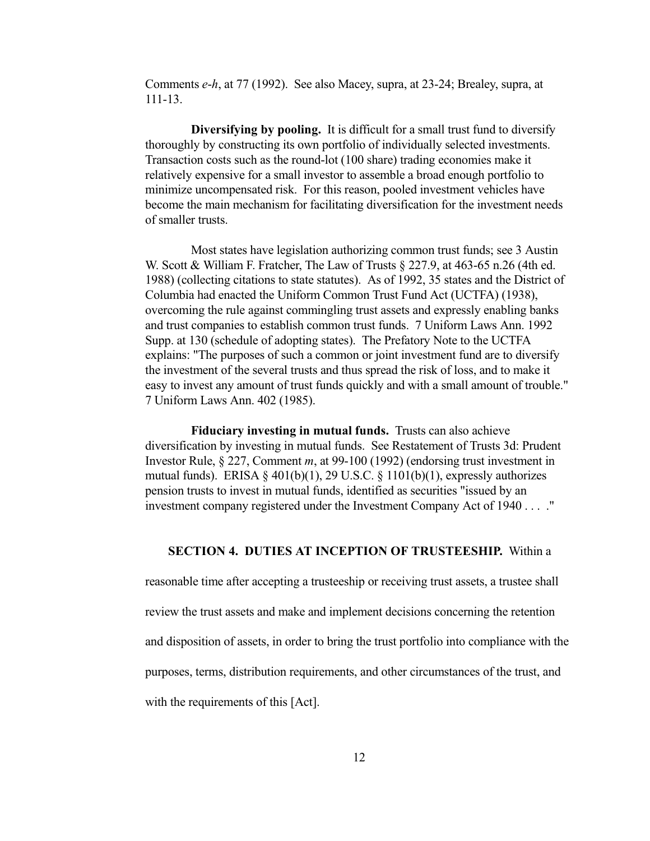Comments *e*-*h*, at 77 (1992). See also Macey, supra, at 23-24; Brealey, supra, at 111-13.

**Diversifying by pooling.** It is difficult for a small trust fund to diversify thoroughly by constructing its own portfolio of individually selected investments. Transaction costs such as the round-lot (100 share) trading economies make it relatively expensive for a small investor to assemble a broad enough portfolio to minimize uncompensated risk. For this reason, pooled investment vehicles have become the main mechanism for facilitating diversification for the investment needs of smaller trusts.

Most states have legislation authorizing common trust funds; see 3 Austin W. Scott & William F. Fratcher, The Law of Trusts § 227.9, at 463-65 n.26 (4th ed. 1988) (collecting citations to state statutes). As of 1992, 35 states and the District of Columbia had enacted the Uniform Common Trust Fund Act (UCTFA) (1938), overcoming the rule against commingling trust assets and expressly enabling banks and trust companies to establish common trust funds. 7 Uniform Laws Ann. 1992 Supp. at 130 (schedule of adopting states). The Prefatory Note to the UCTFA explains: "The purposes of such a common or joint investment fund are to diversify the investment of the several trusts and thus spread the risk of loss, and to make it easy to invest any amount of trust funds quickly and with a small amount of trouble." 7 Uniform Laws Ann. 402 (1985).

**Fiduciary investing in mutual funds.** Trusts can also achieve diversification by investing in mutual funds. See Restatement of Trusts 3d: Prudent Investor Rule, § 227, Comment *m*, at 99-100 (1992) (endorsing trust investment in mutual funds). ERISA  $\S$  401(b)(1), 29 U.S.C.  $\S$  1101(b)(1), expressly authorizes pension trusts to invest in mutual funds, identified as securities "issued by an investment company registered under the Investment Company Act of 1940 . . . ."

# **SECTION 4. DUTIES AT INCEPTION OF TRUSTEESHIP.** Within a

reasonable time after accepting a trusteeship or receiving trust assets, a trustee shall review the trust assets and make and implement decisions concerning the retention and disposition of assets, in order to bring the trust portfolio into compliance with the purposes, terms, distribution requirements, and other circumstances of the trust, and with the requirements of this [Act].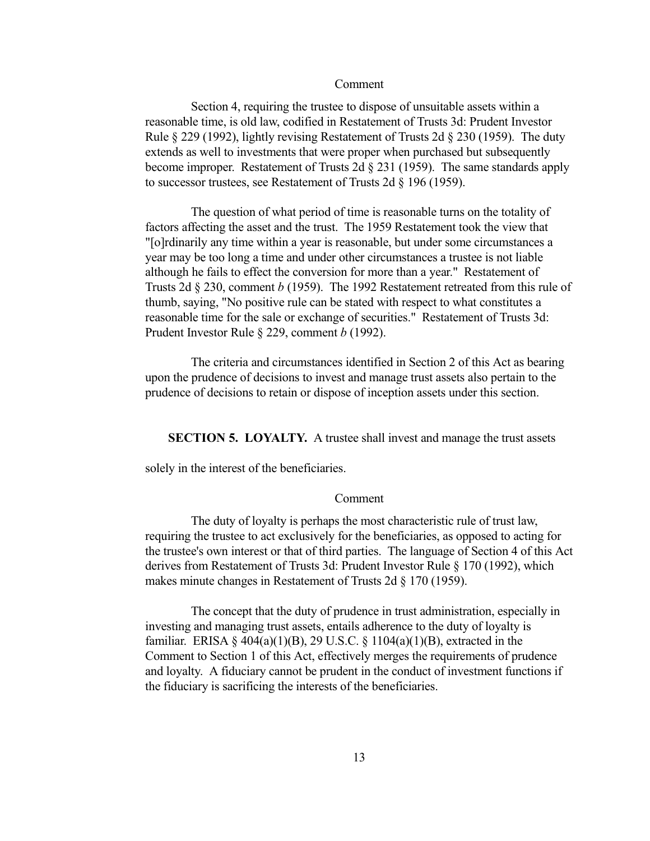#### Comment

Section 4, requiring the trustee to dispose of unsuitable assets within a reasonable time, is old law, codified in Restatement of Trusts 3d: Prudent Investor Rule  $\S 229$  (1992), lightly revising Restatement of Trusts 2d  $\S 230$  (1959). The duty extends as well to investments that were proper when purchased but subsequently become improper. Restatement of Trusts 2d § 231 (1959). The same standards apply to successor trustees, see Restatement of Trusts 2d § 196 (1959).

The question of what period of time is reasonable turns on the totality of factors affecting the asset and the trust. The 1959 Restatement took the view that "[o]rdinarily any time within a year is reasonable, but under some circumstances a year may be too long a time and under other circumstances a trustee is not liable although he fails to effect the conversion for more than a year." Restatement of Trusts 2d § 230, comment *b* (1959). The 1992 Restatement retreated from this rule of thumb, saying, "No positive rule can be stated with respect to what constitutes a reasonable time for the sale or exchange of securities." Restatement of Trusts 3d: Prudent Investor Rule § 229, comment *b* (1992).

The criteria and circumstances identified in Section 2 of this Act as bearing upon the prudence of decisions to invest and manage trust assets also pertain to the prudence of decisions to retain or dispose of inception assets under this section.

**SECTION 5. LOYALTY.** A trustee shall invest and manage the trust assets

solely in the interest of the beneficiaries.

#### Comment

The duty of loyalty is perhaps the most characteristic rule of trust law, requiring the trustee to act exclusively for the beneficiaries, as opposed to acting for the trustee's own interest or that of third parties. The language of Section 4 of this Act derives from Restatement of Trusts 3d: Prudent Investor Rule § 170 (1992), which makes minute changes in Restatement of Trusts 2d § 170 (1959).

The concept that the duty of prudence in trust administration, especially in investing and managing trust assets, entails adherence to the duty of loyalty is familiar. ERISA §  $404(a)(1)(B)$ , 29 U.S.C. § 1104(a)(1)(B), extracted in the Comment to Section 1 of this Act, effectively merges the requirements of prudence and loyalty. A fiduciary cannot be prudent in the conduct of investment functions if the fiduciary is sacrificing the interests of the beneficiaries.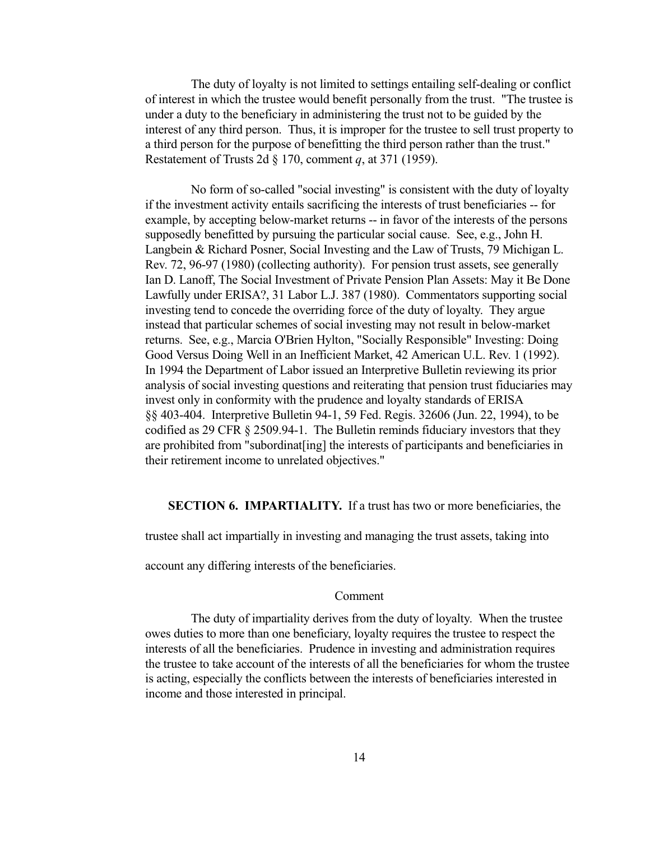The duty of loyalty is not limited to settings entailing self-dealing or conflict of interest in which the trustee would benefit personally from the trust. "The trustee is under a duty to the beneficiary in administering the trust not to be guided by the interest of any third person. Thus, it is improper for the trustee to sell trust property to a third person for the purpose of benefitting the third person rather than the trust." Restatement of Trusts 2d § 170, comment *q*, at 371 (1959).

No form of so-called "social investing" is consistent with the duty of loyalty if the investment activity entails sacrificing the interests of trust beneficiaries -- for example, by accepting below-market returns -- in favor of the interests of the persons supposedly benefitted by pursuing the particular social cause. See, e.g., John H. Langbein & Richard Posner, Social Investing and the Law of Trusts, 79 Michigan L. Rev. 72, 96-97 (1980) (collecting authority). For pension trust assets, see generally Ian D. Lanoff, The Social Investment of Private Pension Plan Assets: May it Be Done Lawfully under ERISA?, 31 Labor L.J. 387 (1980). Commentators supporting social investing tend to concede the overriding force of the duty of loyalty. They argue instead that particular schemes of social investing may not result in below-market returns. See, e.g., Marcia O'Brien Hylton, "Socially Responsible" Investing: Doing Good Versus Doing Well in an Inefficient Market, 42 American U.L. Rev. 1 (1992). In 1994 the Department of Labor issued an Interpretive Bulletin reviewing its prior analysis of social investing questions and reiterating that pension trust fiduciaries may invest only in conformity with the prudence and loyalty standards of ERISA §§ 403-404. Interpretive Bulletin 94-1, 59 Fed. Regis. 32606 (Jun. 22, 1994), to be codified as 29 CFR § 2509.94-1. The Bulletin reminds fiduciary investors that they are prohibited from "subordinat[ing] the interests of participants and beneficiaries in their retirement income to unrelated objectives."

# **SECTION 6. IMPARTIALITY.** If a trust has two or more beneficiaries, the

trustee shall act impartially in investing and managing the trust assets, taking into

account any differing interests of the beneficiaries.

#### Comment

The duty of impartiality derives from the duty of loyalty. When the trustee owes duties to more than one beneficiary, loyalty requires the trustee to respect the interests of all the beneficiaries. Prudence in investing and administration requires the trustee to take account of the interests of all the beneficiaries for whom the trustee is acting, especially the conflicts between the interests of beneficiaries interested in income and those interested in principal.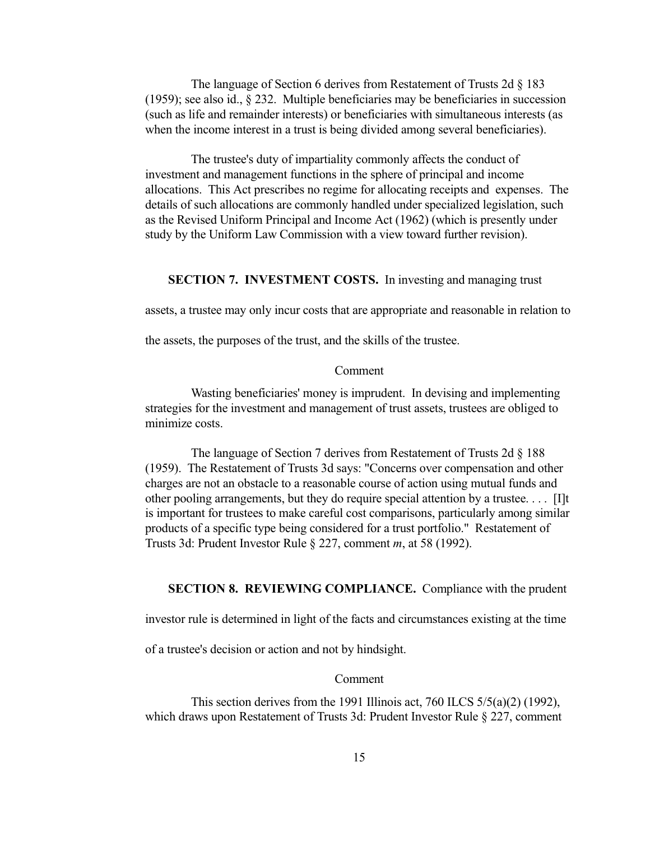The language of Section 6 derives from Restatement of Trusts 2d § 183 (1959); see also id., § 232. Multiple beneficiaries may be beneficiaries in succession (such as life and remainder interests) or beneficiaries with simultaneous interests (as when the income interest in a trust is being divided among several beneficiaries).

The trustee's duty of impartiality commonly affects the conduct of investment and management functions in the sphere of principal and income allocations. This Act prescribes no regime for allocating receipts and expenses. The details of such allocations are commonly handled under specialized legislation, such as the Revised Uniform Principal and Income Act (1962) (which is presently under study by the Uniform Law Commission with a view toward further revision).

# **SECTION 7. INVESTMENT COSTS.** In investing and managing trust

assets, a trustee may only incur costs that are appropriate and reasonable in relation to

the assets, the purposes of the trust, and the skills of the trustee.

#### Comment

Wasting beneficiaries' money is imprudent. In devising and implementing strategies for the investment and management of trust assets, trustees are obliged to minimize costs.

The language of Section 7 derives from Restatement of Trusts 2d § 188 (1959). The Restatement of Trusts 3d says: "Concerns over compensation and other charges are not an obstacle to a reasonable course of action using mutual funds and other pooling arrangements, but they do require special attention by a trustee. . . . [I]t is important for trustees to make careful cost comparisons, particularly among similar products of a specific type being considered for a trust portfolio." Restatement of Trusts 3d: Prudent Investor Rule § 227, comment *m*, at 58 (1992).

#### **SECTION 8. REVIEWING COMPLIANCE.** Compliance with the prudent

investor rule is determined in light of the facts and circumstances existing at the time

of a trustee's decision or action and not by hindsight.

### Comment

This section derives from the 1991 Illinois act, 760 ILCS 5/5(a)(2) (1992), which draws upon Restatement of Trusts 3d: Prudent Investor Rule § 227, comment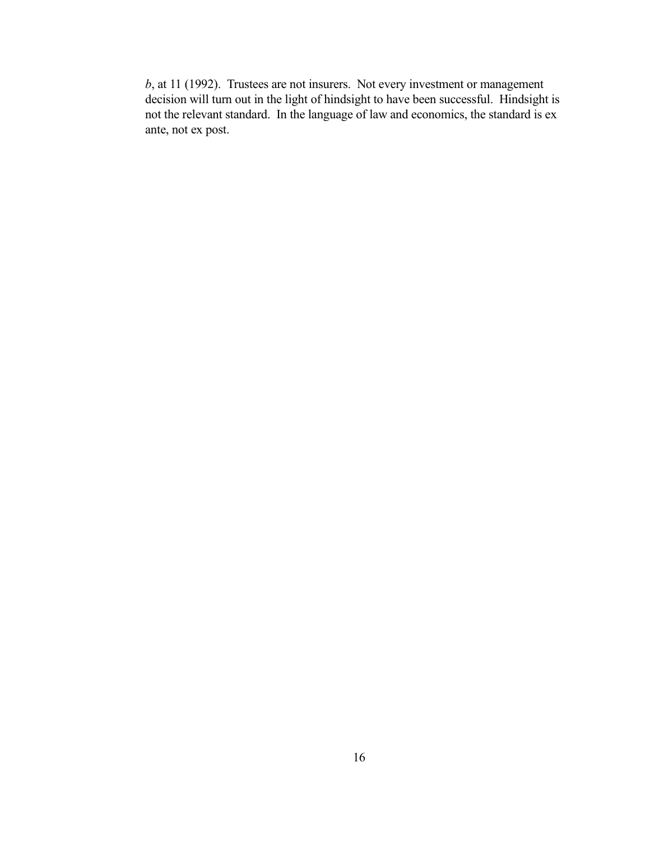*b*, at 11 (1992). Trustees are not insurers. Not every investment or management decision will turn out in the light of hindsight to have been successful. Hindsight is not the relevant standard. In the language of law and economics, the standard is ex ante, not ex post.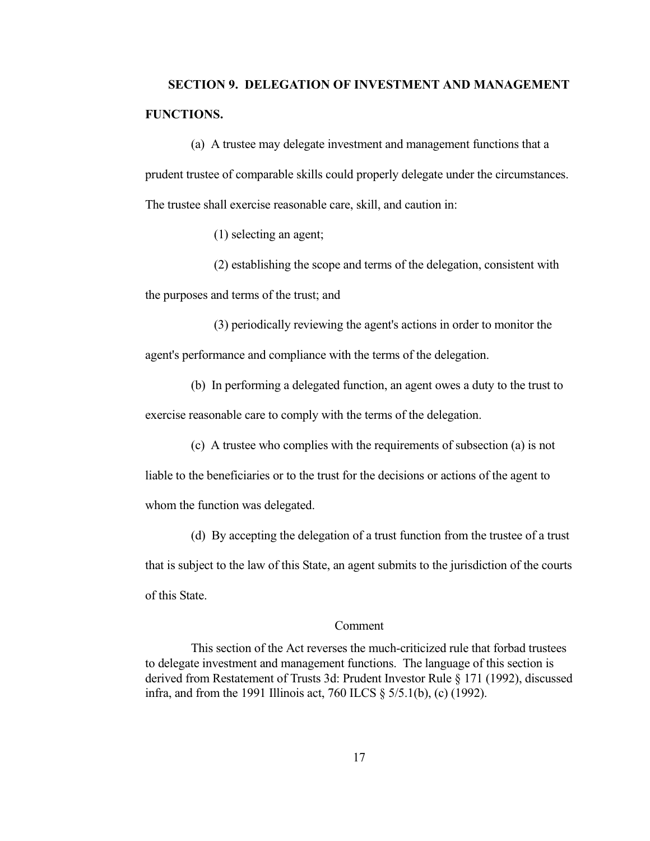# **SECTION 9. DELEGATION OF INVESTMENT AND MANAGEMENT FUNCTIONS.**

(a) A trustee may delegate investment and management functions that a prudent trustee of comparable skills could properly delegate under the circumstances. The trustee shall exercise reasonable care, skill, and caution in:

(1) selecting an agent;

(2) establishing the scope and terms of the delegation, consistent with the purposes and terms of the trust; and

(3) periodically reviewing the agent's actions in order to monitor the agent's performance and compliance with the terms of the delegation.

(b) In performing a delegated function, an agent owes a duty to the trust to exercise reasonable care to comply with the terms of the delegation.

(c) A trustee who complies with the requirements of subsection (a) is not

liable to the beneficiaries or to the trust for the decisions or actions of the agent to whom the function was delegated.

(d) By accepting the delegation of a trust function from the trustee of a trust that is subject to the law of this State, an agent submits to the jurisdiction of the courts of this State.

# Comment

This section of the Act reverses the much-criticized rule that forbad trustees to delegate investment and management functions. The language of this section is derived from Restatement of Trusts 3d: Prudent Investor Rule § 171 (1992), discussed infra, and from the 1991 Illinois act, 760 ILCS § 5/5.1(b), (c) (1992).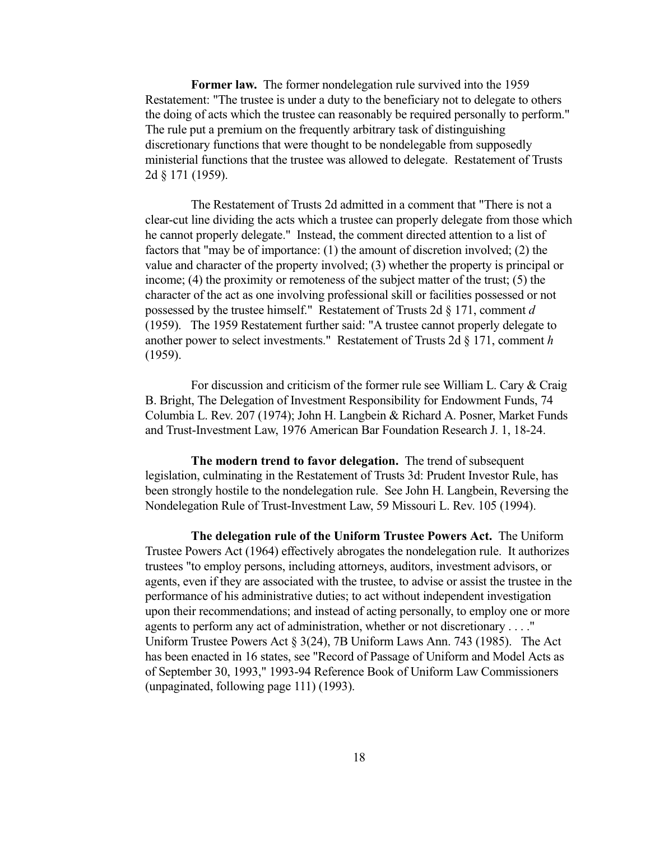**Former law.** The former nondelegation rule survived into the 1959 Restatement: "The trustee is under a duty to the beneficiary not to delegate to others the doing of acts which the trustee can reasonably be required personally to perform." The rule put a premium on the frequently arbitrary task of distinguishing discretionary functions that were thought to be nondelegable from supposedly ministerial functions that the trustee was allowed to delegate. Restatement of Trusts 2d § 171 (1959).

The Restatement of Trusts 2d admitted in a comment that "There is not a clear-cut line dividing the acts which a trustee can properly delegate from those which he cannot properly delegate." Instead, the comment directed attention to a list of factors that "may be of importance: (1) the amount of discretion involved; (2) the value and character of the property involved; (3) whether the property is principal or income; (4) the proximity or remoteness of the subject matter of the trust; (5) the character of the act as one involving professional skill or facilities possessed or not possessed by the trustee himself." Restatement of Trusts 2d § 171, comment *d* (1959). The 1959 Restatement further said: "A trustee cannot properly delegate to another power to select investments." Restatement of Trusts 2d § 171, comment *h* (1959).

For discussion and criticism of the former rule see William L. Cary & Craig B. Bright, The Delegation of Investment Responsibility for Endowment Funds, 74 Columbia L. Rev. 207 (1974); John H. Langbein & Richard A. Posner, Market Funds and Trust-Investment Law, 1976 American Bar Foundation Research J. 1, 18-24.

**The modern trend to favor delegation.** The trend of subsequent legislation, culminating in the Restatement of Trusts 3d: Prudent Investor Rule, has been strongly hostile to the nondelegation rule. See John H. Langbein, Reversing the Nondelegation Rule of Trust-Investment Law, 59 Missouri L. Rev. 105 (1994).

**The delegation rule of the Uniform Trustee Powers Act.** The Uniform Trustee Powers Act (1964) effectively abrogates the nondelegation rule. It authorizes trustees "to employ persons, including attorneys, auditors, investment advisors, or agents, even if they are associated with the trustee, to advise or assist the trustee in the performance of his administrative duties; to act without independent investigation upon their recommendations; and instead of acting personally, to employ one or more agents to perform any act of administration, whether or not discretionary . . . ." Uniform Trustee Powers Act § 3(24), 7B Uniform Laws Ann. 743 (1985). The Act has been enacted in 16 states, see "Record of Passage of Uniform and Model Acts as of September 30, 1993," 1993-94 Reference Book of Uniform Law Commissioners (unpaginated, following page 111) (1993).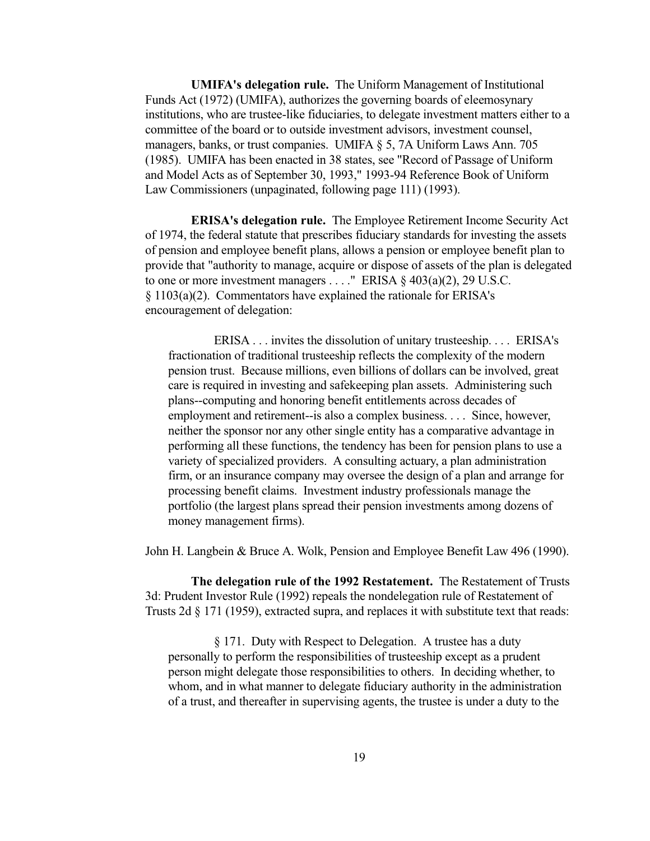**UMIFA's delegation rule.** The Uniform Management of Institutional Funds Act (1972) (UMIFA), authorizes the governing boards of eleemosynary institutions, who are trustee-like fiduciaries, to delegate investment matters either to a committee of the board or to outside investment advisors, investment counsel, managers, banks, or trust companies. UMIFA § 5, 7A Uniform Laws Ann. 705 (1985). UMIFA has been enacted in 38 states, see "Record of Passage of Uniform and Model Acts as of September 30, 1993," 1993-94 Reference Book of Uniform Law Commissioners (unpaginated, following page 111) (1993).

**ERISA's delegation rule.** The Employee Retirement Income Security Act of 1974, the federal statute that prescribes fiduciary standards for investing the assets of pension and employee benefit plans, allows a pension or employee benefit plan to provide that "authority to manage, acquire or dispose of assets of the plan is delegated to one or more investment managers  $\dots$ ." ERISA § 403(a)(2), 29 U.S.C. § 1103(a)(2). Commentators have explained the rationale for ERISA's encouragement of delegation:

ERISA . . . invites the dissolution of unitary trusteeship. . . . ERISA's fractionation of traditional trusteeship reflects the complexity of the modern pension trust. Because millions, even billions of dollars can be involved, great care is required in investing and safekeeping plan assets. Administering such plans--computing and honoring benefit entitlements across decades of employment and retirement--is also a complex business. . . . Since, however, neither the sponsor nor any other single entity has a comparative advantage in performing all these functions, the tendency has been for pension plans to use a variety of specialized providers. A consulting actuary, a plan administration firm, or an insurance company may oversee the design of a plan and arrange for processing benefit claims. Investment industry professionals manage the portfolio (the largest plans spread their pension investments among dozens of money management firms).

John H. Langbein & Bruce A. Wolk, Pension and Employee Benefit Law 496 (1990).

**The delegation rule of the 1992 Restatement.** The Restatement of Trusts 3d: Prudent Investor Rule (1992) repeals the nondelegation rule of Restatement of Trusts 2d § 171 (1959), extracted supra, and replaces it with substitute text that reads:

§ 171. Duty with Respect to Delegation. A trustee has a duty personally to perform the responsibilities of trusteeship except as a prudent person might delegate those responsibilities to others. In deciding whether, to whom, and in what manner to delegate fiduciary authority in the administration of a trust, and thereafter in supervising agents, the trustee is under a duty to the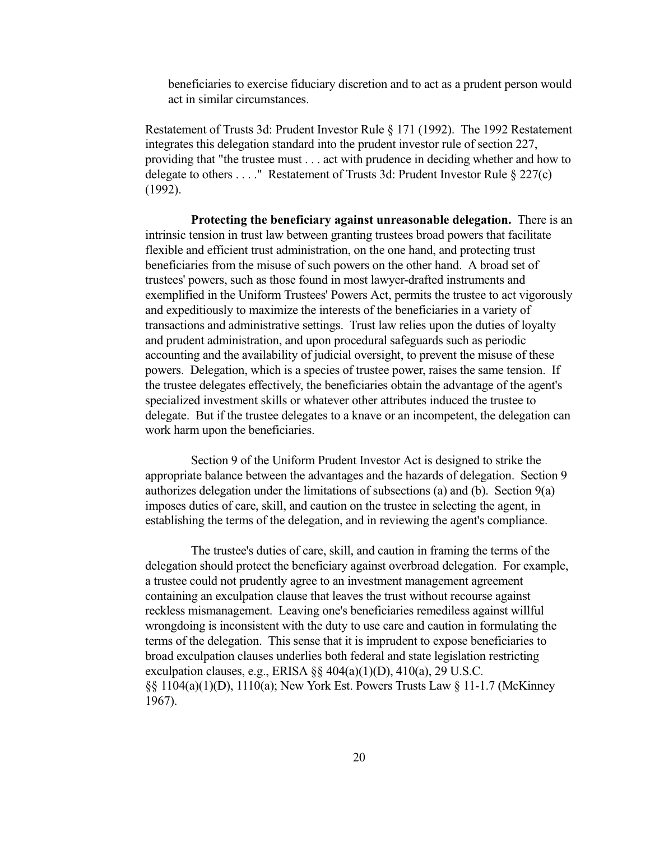beneficiaries to exercise fiduciary discretion and to act as a prudent person would act in similar circumstances.

Restatement of Trusts 3d: Prudent Investor Rule § 171 (1992). The 1992 Restatement integrates this delegation standard into the prudent investor rule of section 227, providing that "the trustee must . . . act with prudence in deciding whether and how to delegate to others . . . ." Restatement of Trusts 3d: Prudent Investor Rule § 227(c) (1992).

**Protecting the beneficiary against unreasonable delegation.** There is an intrinsic tension in trust law between granting trustees broad powers that facilitate flexible and efficient trust administration, on the one hand, and protecting trust beneficiaries from the misuse of such powers on the other hand. A broad set of trustees' powers, such as those found in most lawyer-drafted instruments and exemplified in the Uniform Trustees' Powers Act, permits the trustee to act vigorously and expeditiously to maximize the interests of the beneficiaries in a variety of transactions and administrative settings. Trust law relies upon the duties of loyalty and prudent administration, and upon procedural safeguards such as periodic accounting and the availability of judicial oversight, to prevent the misuse of these powers. Delegation, which is a species of trustee power, raises the same tension. If the trustee delegates effectively, the beneficiaries obtain the advantage of the agent's specialized investment skills or whatever other attributes induced the trustee to delegate. But if the trustee delegates to a knave or an incompetent, the delegation can work harm upon the beneficiaries.

Section 9 of the Uniform Prudent Investor Act is designed to strike the appropriate balance between the advantages and the hazards of delegation. Section 9 authorizes delegation under the limitations of subsections (a) and (b). Section 9(a) imposes duties of care, skill, and caution on the trustee in selecting the agent, in establishing the terms of the delegation, and in reviewing the agent's compliance.

The trustee's duties of care, skill, and caution in framing the terms of the delegation should protect the beneficiary against overbroad delegation. For example, a trustee could not prudently agree to an investment management agreement containing an exculpation clause that leaves the trust without recourse against reckless mismanagement. Leaving one's beneficiaries remediless against willful wrongdoing is inconsistent with the duty to use care and caution in formulating the terms of the delegation. This sense that it is imprudent to expose beneficiaries to broad exculpation clauses underlies both federal and state legislation restricting exculpation clauses, e.g., ERISA  $\S$ § 404(a)(1)(D), 410(a), 29 U.S.C. §§ 1104(a)(1)(D), 1110(a); New York Est. Powers Trusts Law § 11-1.7 (McKinney 1967).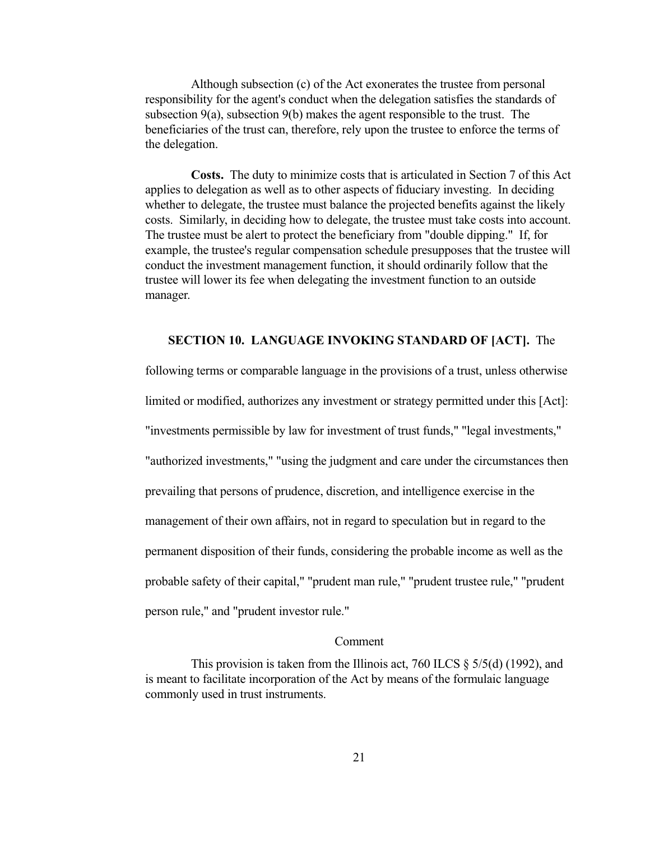Although subsection (c) of the Act exonerates the trustee from personal responsibility for the agent's conduct when the delegation satisfies the standards of subsection 9(a), subsection 9(b) makes the agent responsible to the trust. The beneficiaries of the trust can, therefore, rely upon the trustee to enforce the terms of the delegation.

**Costs.** The duty to minimize costs that is articulated in Section 7 of this Act applies to delegation as well as to other aspects of fiduciary investing. In deciding whether to delegate, the trustee must balance the projected benefits against the likely costs. Similarly, in deciding how to delegate, the trustee must take costs into account. The trustee must be alert to protect the beneficiary from "double dipping." If, for example, the trustee's regular compensation schedule presupposes that the trustee will conduct the investment management function, it should ordinarily follow that the trustee will lower its fee when delegating the investment function to an outside manager.

# **SECTION 10. LANGUAGE INVOKING STANDARD OF [ACT].** The

following terms or comparable language in the provisions of a trust, unless otherwise limited or modified, authorizes any investment or strategy permitted under this [Act]: "investments permissible by law for investment of trust funds," "legal investments," "authorized investments," "using the judgment and care under the circumstances then prevailing that persons of prudence, discretion, and intelligence exercise in the management of their own affairs, not in regard to speculation but in regard to the permanent disposition of their funds, considering the probable income as well as the

probable safety of their capital," "prudent man rule," "prudent trustee rule," "prudent

person rule," and "prudent investor rule."

# Comment

This provision is taken from the Illinois act, 760 ILCS  $\S$  5/5(d) (1992), and is meant to facilitate incorporation of the Act by means of the formulaic language commonly used in trust instruments.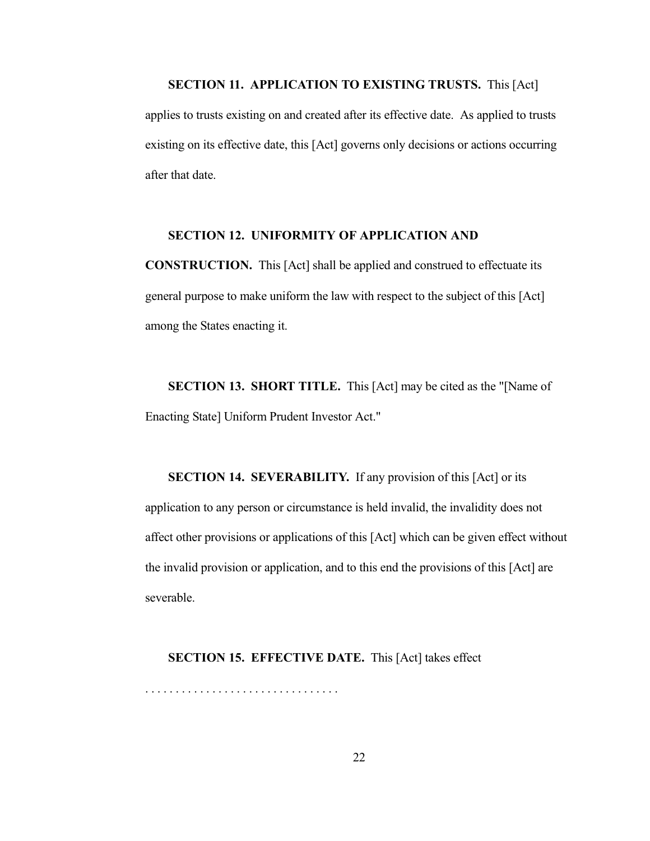applies to trusts existing on and created after its effective date. As applied to trusts existing on its effective date, this [Act] governs only decisions or actions occurring after that date.

**SECTION 11. APPLICATION TO EXISTING TRUSTS.** This [Act]

#### **SECTION 12. UNIFORMITY OF APPLICATION AND**

**CONSTRUCTION.** This [Act] shall be applied and construed to effectuate its general purpose to make uniform the law with respect to the subject of this [Act] among the States enacting it.

**SECTION 13. SHORT TITLE.** This [Act] may be cited as the "[Name of Enacting State] Uniform Prudent Investor Act."

**SECTION 14. SEVERABILITY.** If any provision of this [Act] or its application to any person or circumstance is held invalid, the invalidity does not affect other provisions or applications of this [Act] which can be given effect without the invalid provision or application, and to this end the provisions of this [Act] are severable.

**SECTION 15. EFFECTIVE DATE.** This [Act] takes effect . . . . . . . . . . . . . . . . . . . . . . . . . . . . . . . .